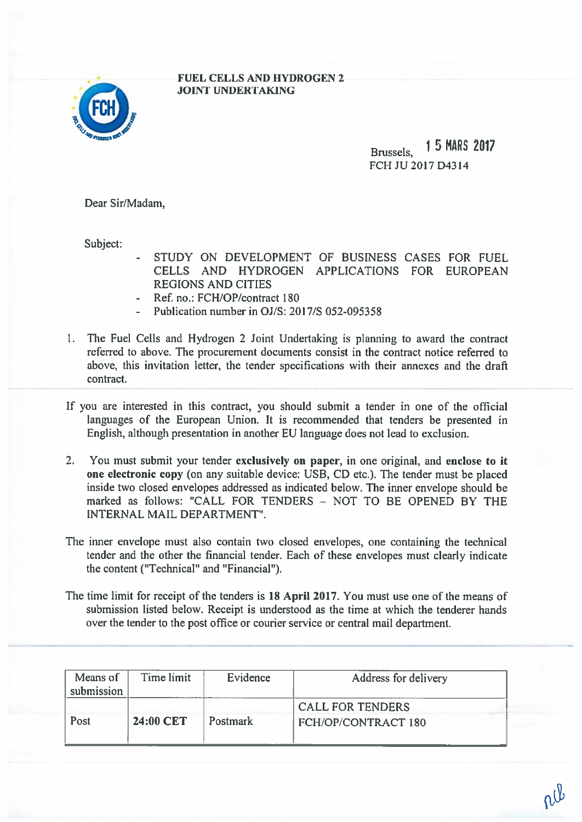## 3

## FUEL CELLS AND HYDROGEN 2 JOINT UNDERTAKING

Brussels, <sup>15</sup> MARS <sup>2017</sup> FCH JU2017D4314

Dear Sir/Madam,

Subject:

- STUDY ON DEVELOPMENT OF BUSINESS CASES FOR FUEL CELLS AND HYDROGEN APPLICATIONS FOR EUROPEANREGIONS AND CITIES
- Ref. no.: FCH/OP/contract 180
- Publication number in OJ/S: 201 7/5 052-095358
- I. The Fuel Cells and Hydrogen 2 Joint Undertaking is planning to award the contract referred to above. The procuremen<sup>t</sup> documents consist in the contract notice referred to above, this invitation letter, the tender specifications with their annexes and the drafi contract.
- If you are interested in this contract, you should submit <sup>a</sup> tender in one of the official languages of the European Union. It is recommended that tenders be presented in English, although presentation in another EU language does not lead to exclusion.
- 2. You must submit your tender exclusively on paper, in one original, and enclose to it one electronic copy (on any suitable device: USB, CD etc.). The tender must be <sup>p</sup>laced inside two closed envelopes addressed as indicated below. The inner envelope should be marked as follows: "CALL FOR TENDERS — NOT TO BE OPENED BY THE INTERNAL MAIL DEPARTMENT".
- The inner envelope must also contain two closed envelopes, one containing the technical tender and the other the financial tender. Each of these envelopes must clearly indicate the content ("Technical" and "Financial").
- The time limit for receipt of the tenders is 18 April 2017. You must use one of the means of submission listed below. Receipt is understood as the time at which the tenderer hands over the tender to the pos<sup>t</sup> office or courier service or central mail department.

| Means of<br>submission | Time limit | Evidence        | Address for delivery                           |  |
|------------------------|------------|-----------------|------------------------------------------------|--|
| Post                   | 24:00 CET  | <b>Postmark</b> | <b>CALL FOR TENDERS</b><br>FCH/OP/CONTRACT 180 |  |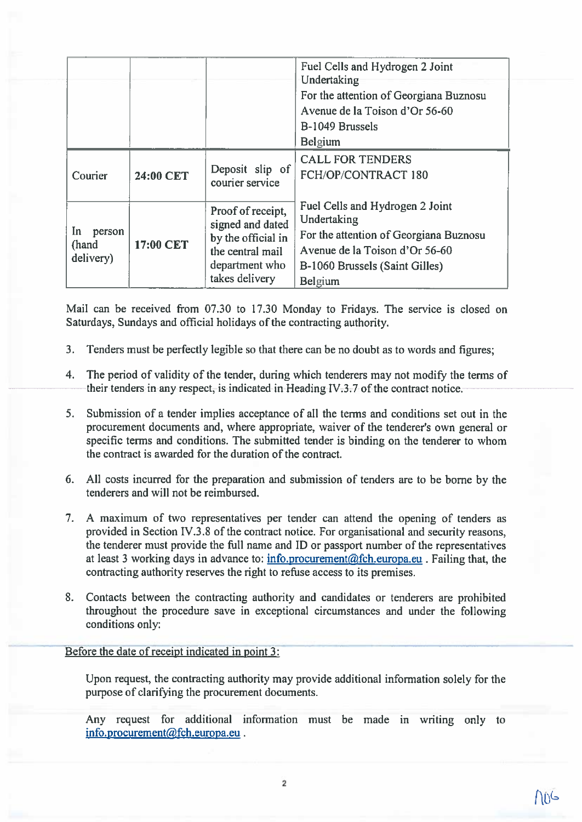|                                    |           |                                                                                                                     | Fuel Cells and Hydrogen 2 Joint<br>Undertaking                                                                                                                          |  |
|------------------------------------|-----------|---------------------------------------------------------------------------------------------------------------------|-------------------------------------------------------------------------------------------------------------------------------------------------------------------------|--|
|                                    |           |                                                                                                                     | For the attention of Georgiana Buznosu<br>Avenue de la Toison d'Or 56-60<br>B-1049 Brussels<br><b>Belgium</b>                                                           |  |
| Courier                            | 24:00 CET | Deposit slip of<br>courier service                                                                                  | <b>CALL FOR TENDERS</b><br>FCH/OP/CONTRACT 180                                                                                                                          |  |
| In<br>person<br>(hand<br>delivery) | 17:00 CET | Proof of receipt,<br>signed and dated<br>by the official in<br>the central mail<br>department who<br>takes delivery | Fuel Cells and Hydrogen 2 Joint<br>Undertaking<br>For the attention of Georgiana Buznosu<br>Avenue de la Toison d'Or 56-60<br>B-1060 Brussels (Saint Gilles)<br>Belgium |  |

Mail can be received from 07.30 to 17.30 Monday to Fridays. The service is closed on Saturdays, Sundays and official holidays of the contracting authority.

- 3. Tenders must be perfectly legible so that there can be no doubt as to words and figures;
- 4. The period of validity of the tender, during which tenderers may not modify the terms of their tenders in any respect, is indicated in Heading IV.3.7 of the contract notice.
- 5. Submission of <sup>a</sup> tender implies acceptance of all the terms and conditions set out in the procurement documents and, where appropriate, waiver of the tenderer's own general or specific terms and conditions. The submitted tender is binding on the tenderer to whom the contract is awarded for the duration of the contract.
- 6. All costs incurred for the preparation and submission of tenders are to be borne by the tenderers and will not be reimbursed.
- 7. <sup>A</sup> maximum of two representatives per tender can attend the opening of tenders as provided in Section IV.3.8 of the contract notice. For organisational and security reasons, the tenderer must provide the full name and ID or passport number of the representatives at least 3 working days in advance to:  $\frac{info}{i}$ ,  $procurrent(@fch, europa.eu)$ . Failing that, the contracting authority reserves the right to refuse access to its premises.
- 8. Contacts between the contracting authority and candidates or tenderers are prohibited throughout the procedure save in exceptional circumstances and under the following conditions only:

Before the date of receipt indicated in point 3:

Upon request, the contracting authority may provide additional information solely for the purpose of clarifying the procuremen<sup>t</sup> documents.

Any reques<sup>t</sup> for additional information must be made in writing only to info.procurement@fch.europa.eu.

AnG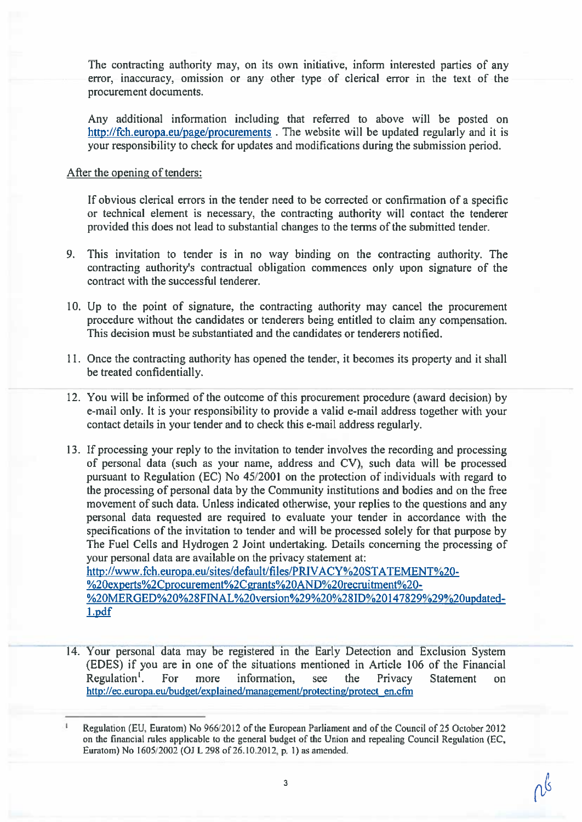The contracting authority may, on its own initiative, inform interested parties of any error, inaccuracy, omission or any other type of clerical error in the text of the procuremen<sup>t</sup> documents.

Any additional information including that referred to above will be posted on http://fch.europa.eu/page/procurements. The website will be updated regularly and it is your responsibility to check for updates and modifications during the submission period.

## After the opening of tenders:

1.pdf

If obvious clerical errors in the tender need to be corrected or confirmation of <sup>a</sup> specific or technical element is necessary, the contracting authority will contact the tenderer provided this does not lead to substantial changes to the terms of the submitted tender.

- 9. This invitation to tender is in no way binding on the contracting authority. The contracting authority's contractual obligation commences only upon signature of the contract with the successful tenderer.
- 10. Up to the point of signature, the contracting authority may cancel the procuremen<sup>t</sup> procedure without the candidates or tenderers being entitled to claim any compensation. This decision must be substantiated and the candidates or tenderers notified.
- 11. Once the contracting authority has opened the tender, it becomes its property and it shall be treated confidentially.
- 12. You will be informed of the outcome of this procuremen<sup>t</sup> procedure (award decision) by e-mail only. It is your responsibility to provide <sup>a</sup> valid e-mail address together with your contact details in your tender and to check this e-mail address regularly.
- 13. If processing your reply to the invitation to tender involves the recording and processing of personal data (such as your name, address and CV), such data will be processed pursuan<sup>t</sup> to Regulation (EC) No 45/2001 on the protection of individuals with regard to the processing of personal data by the Community institutions and bodies and on the free movement of such data. Unless indicated otherwise, your replies to the questions and any personal data requested are required to evaluate your tender in accordance with the specifications of the invitation to tender and will be processed solely for that purpose by The Fuel Cells and Hydrogen 2 Joint undertaking. Details concerning the processing of your personal data are available on the privacy statement at: http://www.fch.europa.eu/sites/default/files/PRIVACY%2OSTATEMENT%20- %2Oexyerts%2Cprocurement%2Cgrants%2OAND%2Orecruitment%20- %20MERGED%20%28FINAL%20version%29%20%28ID%20147829%29%20updated-
- 14. Your personal data may be registered in the Early Detection and Exclusion System (EDES) if you are in one of the situations mentioned in Article 106 of the Financial Regulation'. For more information, see the Privacy Statement on http://ec.europa.eulbudget/explained/management/protecting/protect en.cfm

Regulation (EU, Euratom) No 966/2012 of the European Parliament and of the Council of 25 October 2012 on the financial rules applicable to the general budget of the Union and repealing Council Regulation (EC, Euratom) No 1605/2002 (OJ L 298 of 26.10.2012, p. 1) as amended.